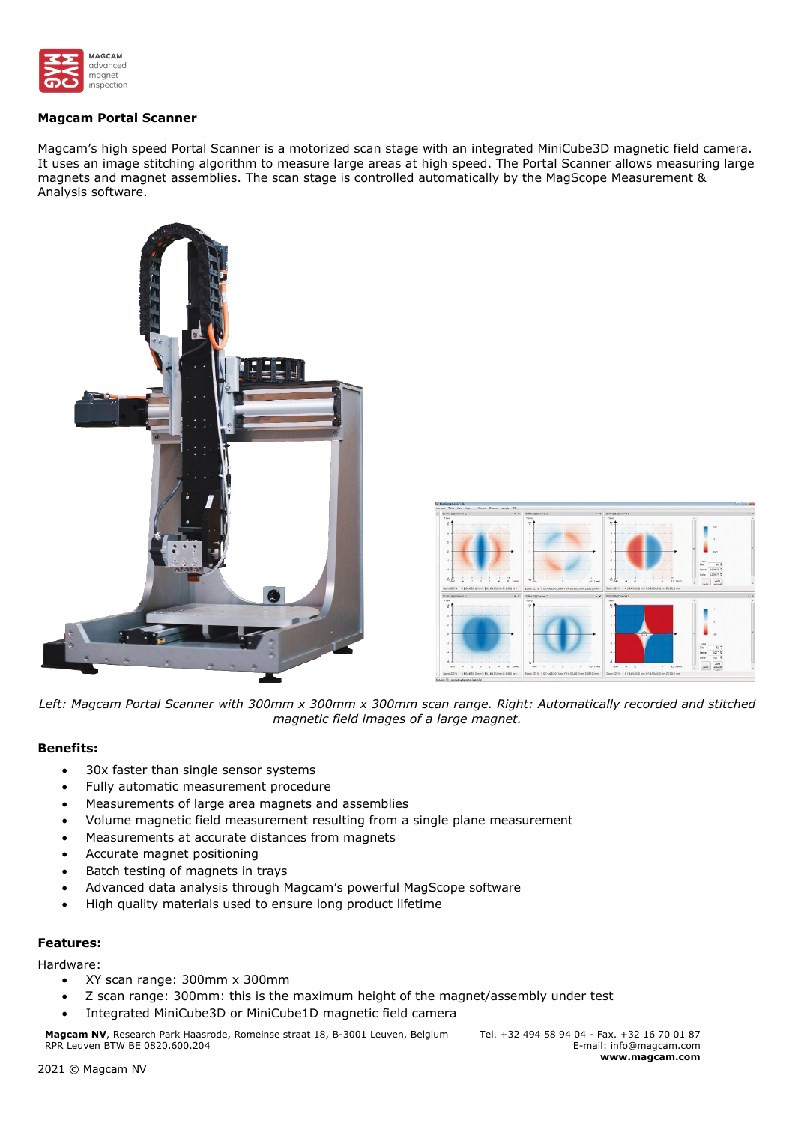

## **Magcam Portal Scanner**

Magcam's high speed Portal Scanner is a motorized scan stage with an integrated MiniCube3D magnetic field camera. It uses an image stitching algorithm to measure large areas at high speed. The Portal Scanner allows measuring large magnets and magnet assemblies. The scan stage is controlled automatically by the MagScope Measurement & Analysis software.





*Left: Magcam Portal Scanner with 300mm x 300mm x 300mm scan range. Right: Automatically recorded and stitched magnetic field images of a large magnet.*

## **Benefits:**

- 30x faster than single sensor systems
- Fully automatic measurement procedure
- Measurements of large area magnets and assemblies
- Volume magnetic field measurement resulting from a single plane measurement
- Measurements at accurate distances from magnets
- Accurate magnet positioning
- Batch testing of magnets in trays
- Advanced data analysis through Magcam's powerful MagScope software
- High quality materials used to ensure long product lifetime

# **Features:**

## Hardware:

- XY scan range: 300mm x 300mm
- Z scan range: 300mm: this is the maximum height of the magnet/assembly under test
- Integrated MiniCube3D or MiniCube1D magnetic field camera

**Magcam NV**, Research Park Haasrode, Romeinse straat 18, B-3001 Leuven, Belgium RPR Leuven BTW BE 0820.600.204

Tel. +32 494 58 94 04 - Fax. +32 16 70 01 87 E-mail: info@magcam.com **www.magcam.com**